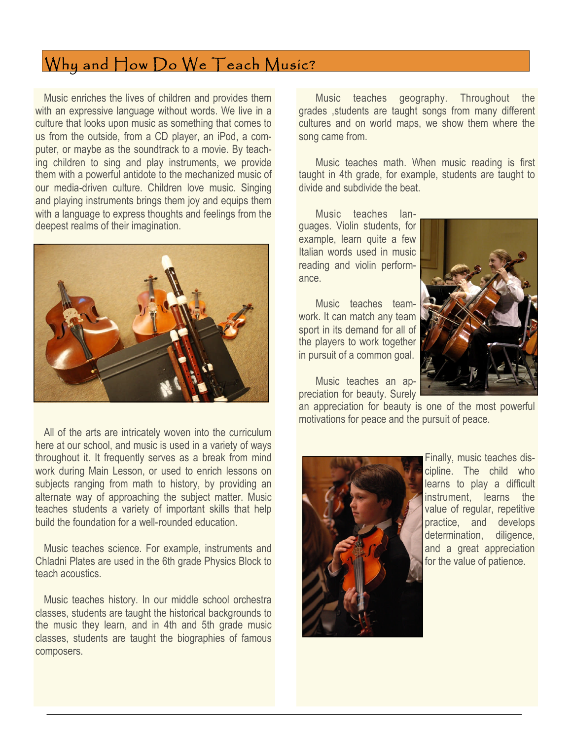## Why and How Do We Teach Music?

Music enriches the lives of children and provides them with an expressive language without words. We live in a culture that looks upon music as something that comes to us from the outside, from a CD player, an iPod, a computer, or maybe as the soundtrack to a movie. By teaching children to sing and play instruments, we provide them with a powerful antidote to the mechanized music of our media-driven culture. Children love music. Singing and playing instruments brings them joy and equips them with a language to express thoughts and feelings from the deepest realms of their imagination.



All of the arts are intricately woven into the curriculum here at our school, and music is used in a variety of ways throughout it. It frequently serves as a break from mind work during Main Lesson, or used to enrich lessons on subjects ranging from math to history, by providing an alternate way of approaching the subject matter. Music teaches students a variety of important skills that help build the foundation for a well-rounded education.

Music teaches science. For example, instruments and Chladni Plates are used in the 6th grade Physics Block to teach acoustics.

Music teaches history. In our middle school orchestra classes, students are taught the historical backgrounds to the music they learn, and in 4th and 5th grade music classes, students are taught the biographies of famous composers.

Music teaches geography. Throughout the grades ,students are taught songs from many different cultures and on world maps, we show them where the song came from.

Music teaches math. When music reading is first taught in 4th grade, for example, students are taught to divide and subdivide the beat.

Music teaches languages. Violin students, for example, learn quite a few Italian words used in music reading and violin performance.

Music teaches teamwork. It can match any team sport in its demand for all of the players to work together in pursuit of a common goal.

Music teaches an appreciation for beauty. Surely

an appreciation for beauty is one of the most powerful motivations for peace and the pursuit of peace.



Finally, music teaches discipline. The child who learns to play a difficult instrument, learns the value of regular, repetitive practice, and develops determination, diligence, and a great appreciation for the value of patience.